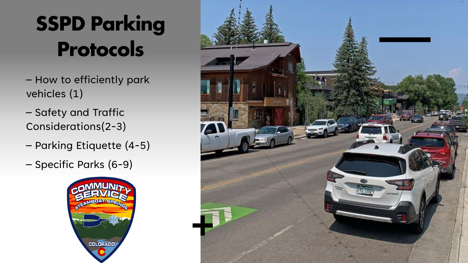## **SSPD Parking** Protocols

- How to efficiently park vehicles (1)
- Safety and Traffic Considerations(2-3)
- Parking Etiquette (4-5)
- Specific Parks (6-9)



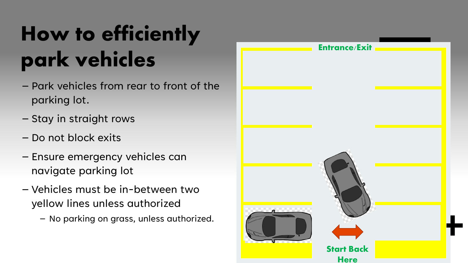# How to efficiently park vehicles

- Park vehicles from rear to front of the parking lot.
- Stay in straight rows
- Do not block exits
- Ensure emergency vehicles can navigate parking lot
- Vehicles must be in-between two yellow lines unless authorized
	- No parking on grass, unless authorized.

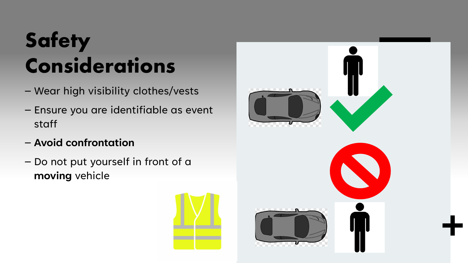# **Safety** Considerations

- Wear high visibility clothes/vests
- Ensure you are identifiable as event staff
- **Avoid confrontation**
- Do not put yourself in front of a **moving** vehicle



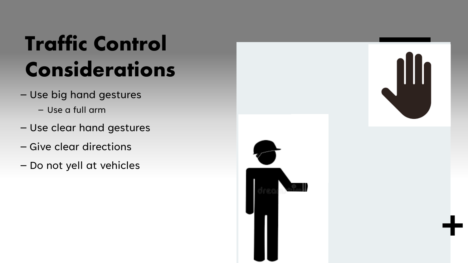## Traffic Control Considerations

- Use big hand gestures
	- Use a full arm
- Use clear hand gestures
- Give clear directions
- Do not yell at vehicles

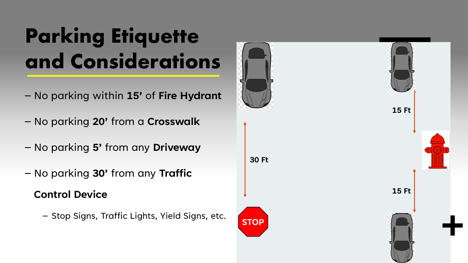# Parking Etiquette and Considerations

- No parking within **15'** of **Fire Hydrant**
- No parking **20'** from a **Crosswalk**
- No parking **5'** from any **Driveway**
- No parking **30'** from any **Traffic**

**Control Device**

– Stop Signs, Traffic Lights, Yield Signs, etc.

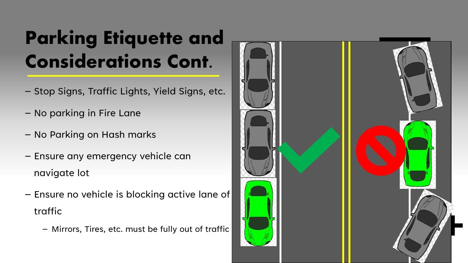#### Parking Etiquette and Considerations Cont.

- Stop Signs, Traffic Lights, Yield Signs, etc.
- No parking in Fire Lane
- No Parking on Hash marks
- Ensure any emergency vehicle can navigate lot
- Ensure no vehicle is blocking active lane of traffic
	- Mirrors, Tires, etc. must be fully out of traffic

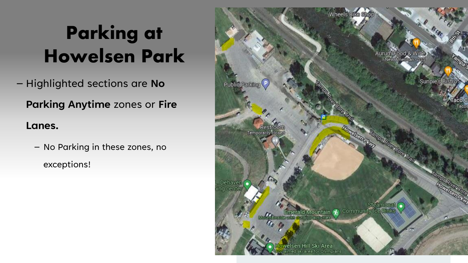### Parking at Howelsen Park

– Highlighted sections are **No** 

**Parking Anytime** zones or **Fire** 

#### **Lanes.**

– No Parking in these zones, no exceptions!

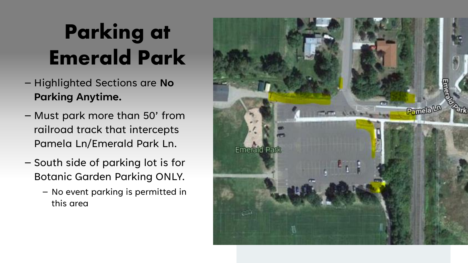# Parking at Emerald Park

- Highlighted Sections are **No Parking Anytime.**
- Must park more than 50' from railroad track that intercepts Pamela Ln/Emerald Park Ln.
- South side of parking lot is for Botanic Garden Parking ONLY.
	- No event parking is permitted in this area

![](_page_7_Picture_5.jpeg)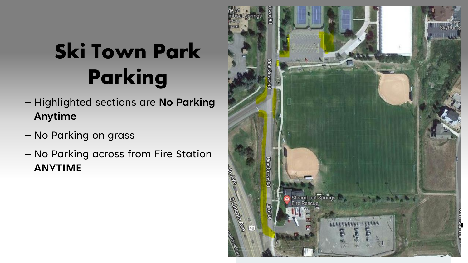# Ski Town Park Parking

- Highlighted sections are **No Parking Anytime**
- No Parking on grass
- No Parking across from Fire Station **ANYTIME**

![](_page_8_Picture_4.jpeg)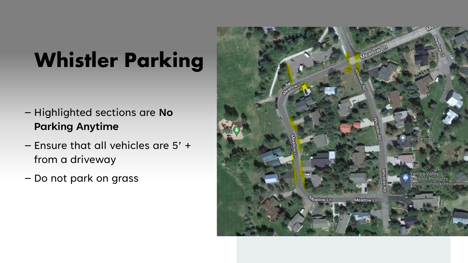## Whistler Parking

- Highlighted sections are **No Parking Anytime**
- Ensure that all vehicles are 5' + from a driveway
- Do not park on grass

![](_page_9_Picture_4.jpeg)